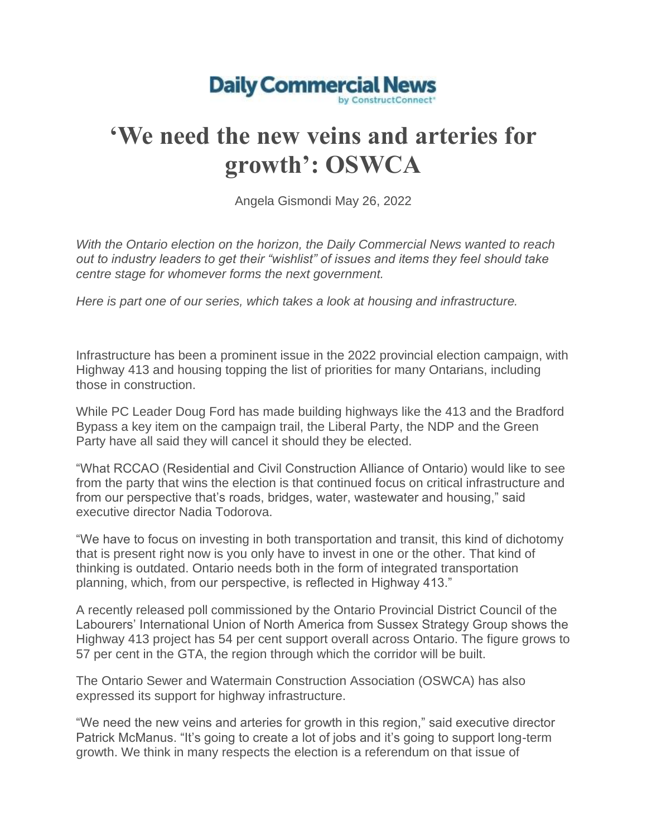

## **'We need the new veins and arteries for growth': OSWCA**

Angela Gismondi May 26, 2022

*With the Ontario election on the horizon, the Daily Commercial News wanted to reach out to industry leaders to get their "wishlist" of issues and items they feel should take centre stage for whomever forms the next government.*

*Here is part one of our series, which takes a look at housing and infrastructure.*

Infrastructure has been a prominent issue in the 2022 provincial election campaign, with Highway 413 and housing topping the list of priorities for many Ontarians, including those in construction.

While PC Leader Doug Ford has made building highways like the 413 and the Bradford Bypass a key item on the campaign trail, the Liberal Party, the NDP and the Green Party have all said they will cancel it should they be elected.

"What RCCAO (Residential and Civil Construction Alliance of Ontario) would like to see from the party that wins the election is that continued focus on critical infrastructure and from our perspective that's roads, bridges, water, wastewater and housing," said executive director Nadia Todorova.

"We have to focus on investing in both transportation and transit, this kind of dichotomy that is present right now is you only have to invest in one or the other. That kind of thinking is outdated. Ontario needs both in the form of integrated transportation planning, which, from our perspective, is reflected in Highway 413."

A recently released poll commissioned by the Ontario Provincial District Council of the Labourers' International Union of North America from Sussex Strategy Group shows the Highway 413 project has 54 per cent support overall across Ontario. The figure grows to 57 per cent in the GTA, the region through which the corridor will be built.

The Ontario Sewer and Watermain Construction Association (OSWCA) has also expressed its support for highway infrastructure.

"We need the new veins and arteries for growth in this region," said executive director Patrick McManus. "It's going to create a lot of jobs and it's going to support long-term growth. We think in many respects the election is a referendum on that issue of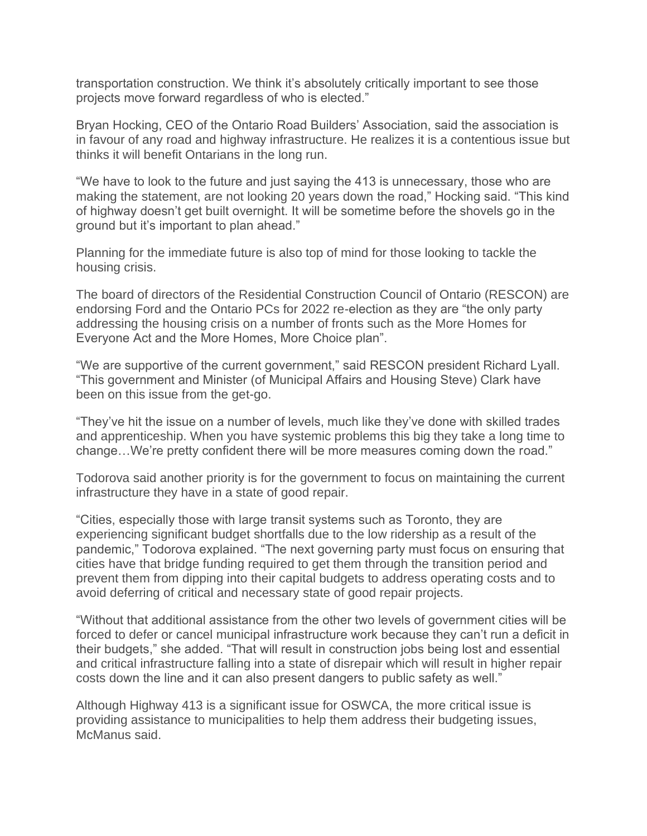transportation construction. We think it's absolutely critically important to see those projects move forward regardless of who is elected."

Bryan Hocking, CEO of the Ontario Road Builders' Association, said the association is in favour of any road and highway infrastructure. He realizes it is a contentious issue but thinks it will benefit Ontarians in the long run.

"We have to look to the future and just saying the 413 is unnecessary, those who are making the statement, are not looking 20 years down the road," Hocking said. "This kind of highway doesn't get built overnight. It will be sometime before the shovels go in the ground but it's important to plan ahead."

Planning for the immediate future is also top of mind for those looking to tackle the housing crisis.

The board of directors of the Residential Construction Council of Ontario (RESCON) are endorsing Ford and the Ontario PCs for 2022 re-election as they are "the only party addressing the housing crisis on a number of fronts such as the More Homes for Everyone Act and the More Homes, More Choice plan".

"We are supportive of the current government," said RESCON president Richard Lyall. "This government and Minister (of Municipal Affairs and Housing Steve) Clark have been on this issue from the get-go.

"They've hit the issue on a number of levels, much like they've done with skilled trades and apprenticeship. When you have systemic problems this big they take a long time to change…We're pretty confident there will be more measures coming down the road."

Todorova said another priority is for the government to focus on maintaining the current infrastructure they have in a state of good repair.

"Cities, especially those with large transit systems such as Toronto, they are experiencing significant budget shortfalls due to the low ridership as a result of the pandemic," Todorova explained. "The next governing party must focus on ensuring that cities have that bridge funding required to get them through the transition period and prevent them from dipping into their capital budgets to address operating costs and to avoid deferring of critical and necessary state of good repair projects.

"Without that additional assistance from the other two levels of government cities will be forced to defer or cancel municipal infrastructure work because they can't run a deficit in their budgets," she added. "That will result in construction jobs being lost and essential and critical infrastructure falling into a state of disrepair which will result in higher repair costs down the line and it can also present dangers to public safety as well."

Although Highway 413 is a significant issue for OSWCA, the more critical issue is providing assistance to municipalities to help them address their budgeting issues, McManus said.